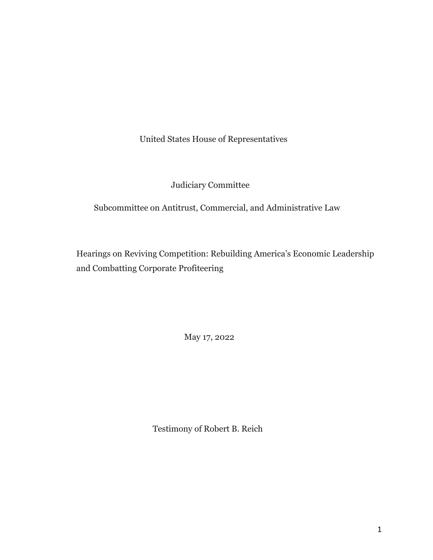United States House of Representatives

Judiciary Committee

Subcommittee on Antitrust, Commercial, and Administrative Law

Hearings on Reviving Competition: Rebuilding America's Economic Leadership and Combatting Corporate Profiteering

May 17, 2022

Testimony of Robert B. Reich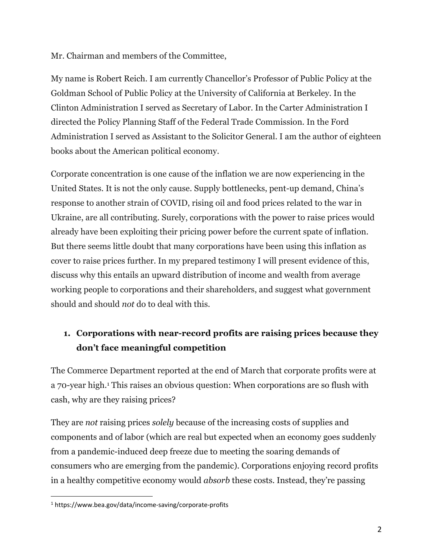Mr. Chairman and members of the Committee,

My name is Robert Reich. I am currently Chancellor's Professor of Public Policy at the Goldman School of Public Policy at the University of California at Berkeley. In the Clinton Administration I served as Secretary of Labor. In the Carter Administration I directed the Policy Planning Staff of the Federal Trade Commission. In the Ford Administration I served as Assistant to the Solicitor General. I am the author of eighteen books about the American political economy.

Corporate concentration is one cause of the inflation we are now experiencing in the United States. It is not the only cause. Supply bottlenecks, pent-up demand, China's response to another strain of COVID, rising oil and food prices related to the war in Ukraine, are all contributing. Surely, corporations with the power to raise prices would already have been exploiting their pricing power before the current spate of inflation. But there seems little doubt that many corporations have been using this inflation as cover to raise prices further. In my prepared testimony I will present evidence of this, discuss why this entails an upward distribution of income and wealth from average working people to corporations and their shareholders, and suggest what government should and should *not* do to deal with this.

# **1. Corporations with near-record profits are raising prices because they don't face meaningful competition**

The Commerce Department reported at the end of March that corporate profits were at a 70-year high.<sup>1</sup> This raises an obvious question: When corporations are so flush with cash, why are they raising prices?

They are *not* raising prices *solely* because of the increasing costs of supplies and components and of labor (which are real but expected when an economy goes suddenly from a pandemic-induced deep freeze due to meeting the soaring demands of consumers who are emerging from the pandemic). Corporations enjoying record profits in a healthy competitive economy would *absorb* these costs. Instead, they're passing

<sup>1</sup> https://www.bea.gov/data/income-saving/corporate-profits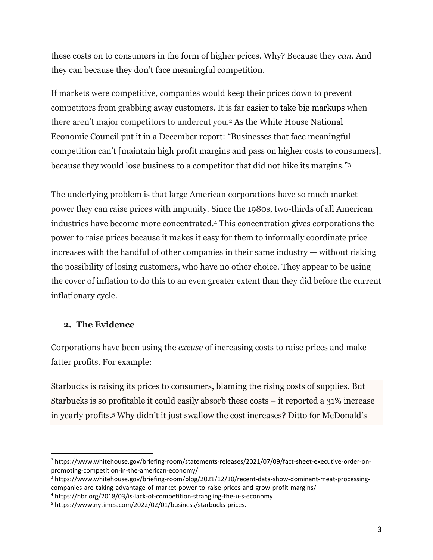these costs on to consumers in the form of higher prices. Why? Because they *can.* And they can because they don't face meaningful competition.

If markets were competitive, companies would keep their prices down to prevent competitors from grabbing away customers. It is far easier to take big markups when there aren't major competitors to undercut you.<sup>2</sup> As the White House National Economic Council put it in a December report: "Businesses that face meaningful competition can't [maintain high profit margins and pass on higher costs to consumers], because they would lose business to a competitor that did not hike its margins."<sup>3</sup>

The underlying problem is that large American corporations have so much market power they can raise prices with impunity. Since the 1980s, two-thirds of all American industries have become more concentrated.<sup>4</sup> This concentration gives corporations the power to raise prices because it makes it easy for them to informally coordinate price increases with the handful of other companies in their same industry — without risking the possibility of losing customers, who have no other choice. They appear to be using the cover of inflation to do this to an even greater extent than they did before the current inflationary cycle.

### **2. The Evidence**

Corporations have been using the *excuse* of increasing costs to raise prices and make fatter profits. For example:

Starbucks is raising its prices to consumers, blaming the rising costs of supplies. But Starbucks is so profitable it could easily absorb these costs – it reported a 31% increase in yearly profits.<sup>5</sup> Why didn't it just swallow the cost increases? Ditto for McDonald's

<sup>2</sup> https://www.whitehouse.gov/briefing-room/statements-releases/2021/07/09/fact-sheet-executive-order-onpromoting-competition-in-the-american-economy/

<sup>3</sup> https://www.whitehouse.gov/briefing-room/blog/2021/12/10/recent-data-show-dominant-meat-processingcompanies-are-taking-advantage-of-market-power-to-raise-prices-and-grow-profit-margins/

<sup>4</sup> https://hbr.org/2018/03/is-lack-of-competition-strangling-the-u-s-economy

<sup>5</sup> https://www.nytimes.com/2022/02/01/business/starbucks-prices.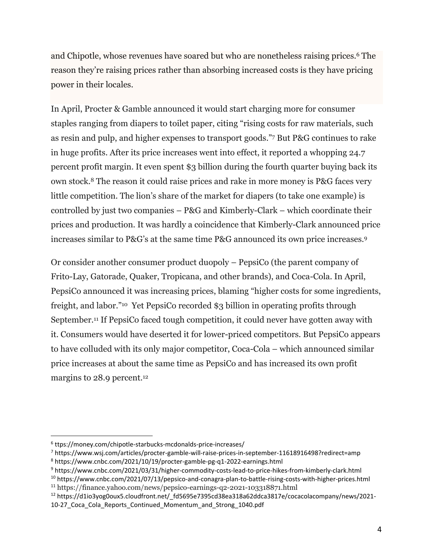and Chipotle, whose revenues have soared but who are nonetheless raising prices.<sup>6</sup> The reason they're raising prices rather than absorbing increased costs is they have pricing power in their locales.

In April, Procter & Gamble announced it would start charging more for consumer staples ranging from diapers to toilet paper, citing "rising costs for raw materials, such as resin and pulp, and higher expenses to transport goods."<sup>7</sup> But P&G continues to rake in huge profits. After its price increases went into effect, it reported a whopping 24.7 percent profit margin. It even spent \$3 billion during the fourth quarter buying back its own stock.<sup>8</sup> The reason it could raise prices and rake in more money is P&G faces very little competition. The lion's share of the market for diapers (to take one example) is controlled by just two companies – P&G and Kimberly-Clark – which coordinate their prices and production. It was hardly a coincidence that Kimberly-Clark announced price increases similar to P&G's at the same time P&G announced its own price increases.<sup>9</sup>

Or consider another consumer product duopoly – PepsiCo (the parent company of Frito-Lay, Gatorade, Quaker, Tropicana, and other brands), and Coca-Cola. In April, PepsiCo announced it was increasing prices, blaming "higher costs for some ingredients, freight, and labor."<sup>10</sup> Yet PepsiCo recorded \$3 billion in operating profits through September.<sup>11</sup> If PepsiCo faced tough competition, it could never have gotten away with it. Consumers would have deserted it for lower-priced competitors. But PepsiCo appears to have colluded with its only major competitor, Coca-Cola – which announced similar price increases at about the same time as PepsiCo and has increased its own profit margins to 28.9 percent.<sup>12</sup>

<sup>6</sup> ttps://money.com/chipotle-starbucks-mcdonalds-price-increases/

<sup>7</sup> https://www.wsj.com/articles/procter-gamble-will-raise-prices-in-september-11618916498?redirect=amp <sup>8</sup> https://www.cnbc.com/2021/10/19/procter-gamble-pg-q1-2022-earnings.html

<sup>9</sup> https://www.cnbc.com/2021/03/31/higher-commodity-costs-lead-to-price-hikes-from-kimberly-clark.html

<sup>10</sup> https://www.cnbc.com/2021/07/13/pepsico-and-conagra-plan-to-battle-rising-costs-with-higher-prices.html <sup>11</sup> https://finance.yahoo.com/news/pepsico-earnings-q2-2021-103318871.html

<sup>&</sup>lt;sup>12</sup> https://d1io3yog0oux5.cloudfront.net/ fd5695e7395cd38ea318a62ddca3817e/cocacolacompany/news/2021-10-27 Coca Cola Reports Continued Momentum and Strong 1040.pdf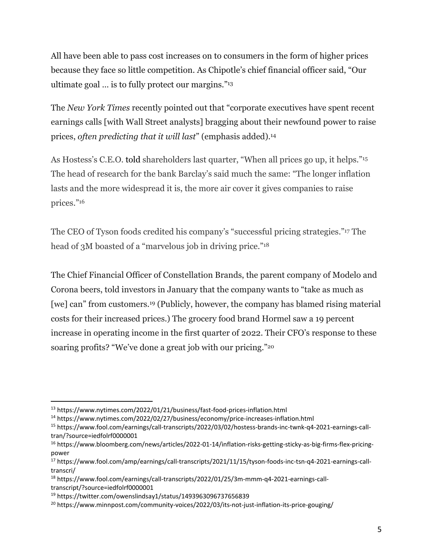All have been able to pass cost increases on to consumers in the form of higher prices because they face so little competition. As Chipotle's chief financial officer said, "Our ultimate goal … is to fully protect our margins."<sup>13</sup>

The *New York Times* recently pointed out that "corporate executives have spent recent earnings calls [with Wall Street analysts] bragging about their newfound power to raise prices, *often predicting that it will last*" (emphasis added).<sup>14</sup>

As Hostess's C.E.O. told shareholders last quarter, "When all prices go up, it helps."<sup>15</sup> The head of research for the bank Barclay's said much the same: "The longer inflation lasts and the more widespread it is, the more air cover it gives companies to raise prices." 16

The CEO of Tyson foods credited his company's "successful pricing strategies."<sup>17</sup> The head of 3M boasted of a "marvelous job in driving price."<sup>18</sup>

The Chief Financial Officer of Constellation Brands, the parent company of Modelo and Corona beers, told investors in January that the company wants to "take as much as [we] can" from customers.<sup>19</sup> (Publicly, however, the company has blamed rising material costs for their increased prices.) The grocery food brand Hormel saw a 19 percent increase in operating income in the first quarter of 2022. Their CFO's response to these soaring profits? "We've done a great job with our pricing."<sup>20</sup>

<sup>13</sup> https://www.nytimes.com/2022/01/21/business/fast-food-prices-inflation.html

<sup>14</sup> https://www.nytimes.com/2022/02/27/business/economy/price-increases-inflation.html

<sup>15</sup> https://www.fool.com/earnings/call-transcripts/2022/03/02/hostess-brands-inc-twnk-q4-2021-earnings-calltran/?source=iedfolrf0000001

<sup>16</sup> https://www.bloomberg.com/news/articles/2022-01-14/inflation-risks-getting-sticky-as-big-firms-flex-pricingpower

<sup>17</sup> https://www.fool.com/amp/earnings/call-transcripts/2021/11/15/tyson-foods-inc-tsn-q4-2021-earnings-calltranscri/

<sup>18</sup> https://www.fool.com/earnings/call-transcripts/2022/01/25/3m-mmm-q4-2021-earnings-calltranscript/?source=iedfolrf0000001

<sup>19</sup> https://twitter.com/owenslindsay1/status/1493963096737656839

<sup>&</sup>lt;sup>20</sup> https://www.minnpost.com/community-voices/2022/03/its-not-just-inflation-its-price-gouging/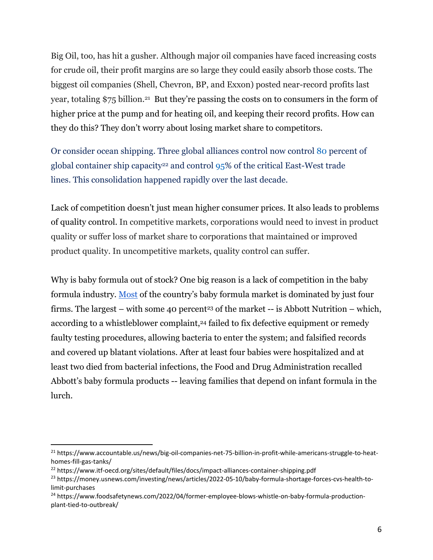Big Oil, too, has hit a gusher. Although major oil companies have faced increasing costs for crude oil, their profit margins are so large they could easily absorb those costs. The biggest oil companies (Shell, Chevron, BP, and Exxon) posted near-record profits last year, totaling \$75 billion.<sup>21</sup> But they're passing the costs on to consumers in the form of higher price at the pump and for heating oil, and keeping their record profits. How can they do this? They don't worry about losing market share to competitors.

Or consider ocean shipping. Three global alliances control now control [80](https://www.itf-oecd.org/sites/default/files/docs/impact-alliances-container-shipping.pdf) percent of global container ship capacity<sup>22</sup> and control  $95\%$  of the critical East-West trade lines. This consolidation happened rapidly over the last decade.

Lack of competition doesn't just mean higher consumer prices. It also leads to problems of quality control. In competitive markets, corporations would need to invest in product quality or suffer loss of market share to corporations that maintained or improved product quality. In uncompetitive markets, quality control can suffer.

Why is baby formula out of stock? One big reason is a lack of competition in the baby formula industry. [Most](http://concentrationcrisis.openmarketsinstitute.org/industry/baby-formula/) of the country's baby formula market is dominated by just four firms. The largest – with some 40 percent<sup>23</sup> of the market -- is Abbott Nutrition – which, according to a whistleblower complaint,<sup>24</sup> failed to fix defective equipment or remedy faulty testing procedures, allowing bacteria to enter the system; and falsified records and covered up blatant violations. After at least four babies were hospitalized and at least two died from bacterial infections, the Food and Drug Administration recalled Abbott's baby formula products -- leaving families that depend on infant formula in the lurch.

<sup>&</sup>lt;sup>21</sup> https://www.accountable.us/news/big-oil-companies-net-75-billion-in-profit-while-americans-struggle-to-heathomes-fill-gas-tanks/

<sup>&</sup>lt;sup>22</sup> https://www.itf-oecd.org/sites/default/files/docs/impact-alliances-container-shipping.pdf

<sup>&</sup>lt;sup>23</sup> https://money.usnews.com/investing/news/articles/2022-05-10/baby-formula-shortage-forces-cvs-health-tolimit-purchases

<sup>24</sup> https://www.foodsafetynews.com/2022/04/former-employee-blows-whistle-on-baby-formula-productionplant-tied-to-outbreak/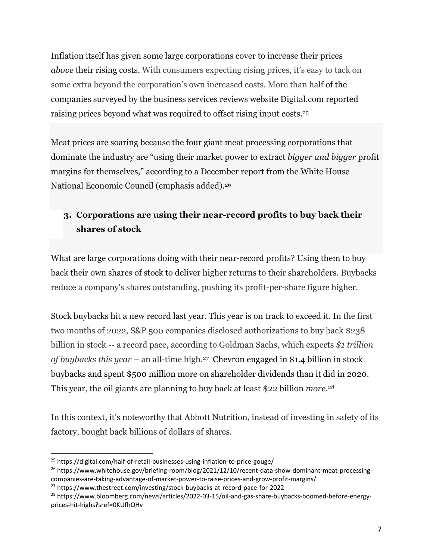Inflation itself has given some large corporations cover to increase their prices *above* their rising costs. With consumers expecting rising prices, it's easy to tack on some extra beyond the corporation's own increased costs. More than half of the companies surveyed by the business services reviews website [Digital.com](http://digital.com/) reported raising prices beyond what was required to offset rising input costs.<sup>25</sup>

Meat prices are soaring because the four giant meat processing corporations that dominate the industry are "using their market power to extract *bigger and bigger* profit margins for themselves," according to a December report from the White House National Economic Council (emphasis added).<sup>26</sup>

# **3. Corporations are using their near-record profits to buy back their shares of stock**

What are large corporations doing with their near-record profits? Using them to buy back their own shares of stock to deliver higher returns to their shareholders. Buybacks reduce a company's shares outstanding, pushing its profit-per-share figure higher.

Stock buybacks hit a new record last year. This year is on track to exceed it. In the first two months of 2022, S&P 500 companies disclosed authorizations to buy back \$238 billion in stock -- a record pace, according to Goldman Sachs, which expects *\$1 trillion of buybacks this year* – an all-time high.27 Chevron engaged in \$1.4 billion in stock buybacks and spent \$500 million more on shareholder dividends than it did in 2020. This year, the oil giants are planning to buy back at least \$22 billion *more*. 28

In this context, it's noteworthy that Abbott Nutrition, instead of investing in safety of its factory, bought back billions of dollars of shares.

<sup>25</sup> https://digital.com/half-of-retail-businesses-using-inflation-to-price-gouge/

<sup>&</sup>lt;sup>26</sup> https://www.whitehouse.gov/briefing-room/blog/2021/12/10/recent-data-show-dominant-meat-processingcompanies-are-taking-advantage-of-market-power-to-raise-prices-and-grow-profit-margins/

<sup>27</sup> https://www.thestreet.com/investing/stock-buybacks-at-record-pace-for-2022

<sup>28</sup> https://www.bloomberg.com/news/articles/2022-03-15/oil-and-gas-share-buybacks-boomed-before-energyprices-hit-highs?sref=0KUfhQHv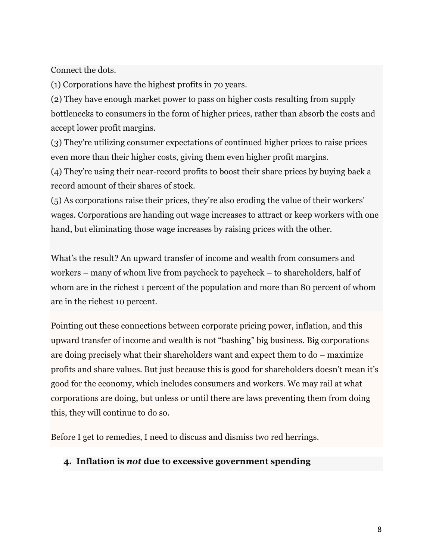Connect the dots.

(1) Corporations have the highest profits in 70 years.

(2) They have enough market power to pass on higher costs resulting from supply bottlenecks to consumers in the form of higher prices, rather than absorb the costs and accept lower profit margins.

(3) They're utilizing consumer expectations of continued higher prices to raise prices even more than their higher costs, giving them even higher profit margins.

(4) They're using their near-record profits to boost their share prices by buying back a record amount of their shares of stock.

(5) As corporations raise their prices, they're also eroding the value of their workers' wages. Corporations are handing out wage increases to attract or keep workers with one hand, but eliminating those wage increases by raising prices with the other.

What's the result? An upward transfer of income and wealth from consumers and workers – many of whom live from paycheck to paycheck – to shareholders, half of whom are in the richest 1 percent of the population and more than 80 percent of whom are in the richest 10 percent.

Pointing out these connections between corporate pricing power, inflation, and this upward transfer of income and wealth is not "bashing" big business. Big corporations are doing precisely what their shareholders want and expect them to do – maximize profits and share values. But just because this is good for shareholders doesn't mean it's good for the economy, which includes consumers and workers. We may rail at what corporations are doing, but unless or until there are laws preventing them from doing this, they will continue to do so.

Before I get to remedies, I need to discuss and dismiss two red herrings.

#### **4. Inflation is** *not* **due to excessive government spending**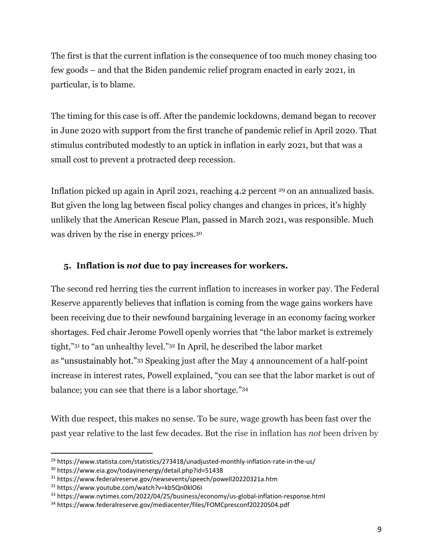The first is that the current inflation is the consequence of too much money chasing too few goods – and that the Biden pandemic relief program enacted in early 2021, in particular, is to blame.

The timing for this case is off. After the pandemic lockdowns, demand began to recover in June 2020 with support from the first tranche of pandemic relief in April 2020. That stimulus contributed modestly to an uptick in inflation in early 2021, but that was a small cost to prevent a protracted deep recession.

Inflation picked up again in April 2021, reaching 4.2 percent <sup>29</sup> on an annualized basis. But given the long lag between fiscal policy changes and changes in prices, it's highly unlikely that the American Rescue Plan, passed in March 2021, was responsible. Much was driven by the rise in energy prices.<sup>30</sup>

## **5. Inflation is** *not* **due to pay increases for workers.**

The second red herring ties the current inflation to increases in worker pay. The Federal Reserve apparently believes that inflation is coming from the wage gains workers have been receiving due to their newfound bargaining leverage in an economy facing worker shortages. Fed chair Jerome Powell openly worries that "the labor market is extremely tight,"<sup>31</sup> to "an unhealthy level."<sup>32</sup> In April, he described the labor market as "unsustainably hot."<sup>33</sup> Speaking just after the May 4 announcement of a half-point increase in interest rates, Powell explained, "you can see that the labor market is out of balance; you can see that there is a labor shortage."<sup>34</sup>

With due respect, this makes no sense. To be sure, wage growth has been fast over the past year relative to the last few decades. But the rise in inflation has *not* been driven by

<sup>&</sup>lt;sup>29</sup> https://www.statista.com/statistics/273418/unadjusted-monthly-inflation-rate-in-the-us/

<sup>30</sup> https://www.eia.gov/todayinenergy/detail.php?id=51438

<sup>31</sup> https://www.federalreserve.gov/newsevents/speech/powell20220321a.htm

<sup>32</sup> https://www.youtube.com/watch?v=kb5Qn0klO6I

<sup>33</sup> https://www.nytimes.com/2022/04/25/business/economy/us-global-inflation-response.html

<sup>34</sup> https://www.federalreserve.gov/mediacenter/files/FOMCpresconf20220504.pdf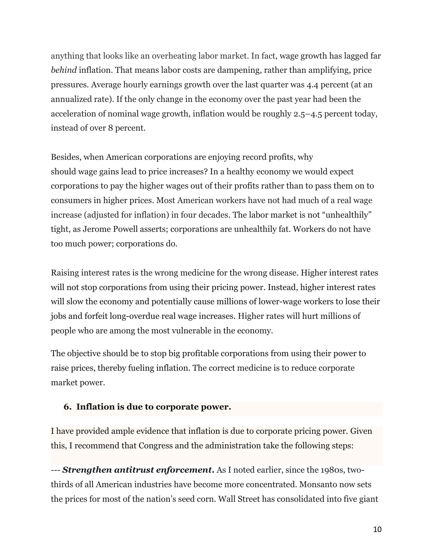anything that looks like an overheating labor market. In fact, wage growth has lagged far *behind* inflation. That means labor costs are dampening, rather than amplifying, price pressures. Average hourly earnings growth over the last quarter was 4.4 percent (at an annualized rate). If the only change in the economy over the past year had been the acceleration of nominal wage growth, inflation would be roughly 2.5–4.5 percent today, instead of over 8 percent.

Besides, when American corporations are enjoying record profits, why should wage gains lead to price increases? In a healthy economy we would expect corporations to pay the higher wages out of their profits rather than to pass them on to consumers in higher prices. Most American workers have not had much of a real wage increase (adjusted for inflation) in four decades. The labor market is not "unhealthily" tight, as Jerome Powell asserts; corporations are unhealthily fat. Workers do not have too much power; corporations do.

Raising interest rates is the wrong medicine for the wrong disease. Higher interest rates will not stop corporations from using their pricing power. Instead, higher interest rates will slow the economy and potentially cause millions of lower-wage workers to lose their jobs and forfeit long-overdue real wage increases. Higher rates will hurt millions of people who are among the most vulnerable in the economy.

The objective should be to stop big profitable corporations from using their power to raise prices, thereby fueling inflation. The correct medicine is to reduce corporate market power.

### **6. Inflation is due to corporate power.**

I have provided ample evidence that inflation is due to corporate pricing power. Given this, I recommend that Congress and the administration take the following steps:

*--- Strengthen antitrust enforcement***.** As I noted earlier, since the 1980s, twothirds of all American industries have become more concentrated. Monsanto now sets the prices for most of the nation's seed corn. Wall Street has consolidated into five giant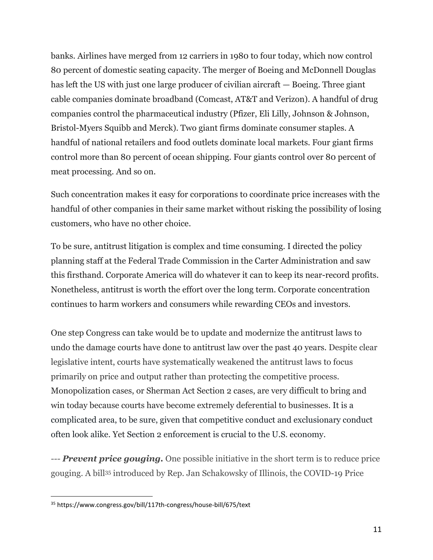banks. Airlines have merged from 12 carriers in 1980 to four today, which now control 80 percent of domestic seating capacity. The merger of Boeing and McDonnell Douglas has left the US with just one large producer of civilian aircraft — Boeing. Three giant cable companies dominate broadband (Comcast, AT&T and Verizon). A handful of drug companies control the pharmaceutical industry (Pfizer, Eli Lilly, Johnson & Johnson, Bristol-Myers Squibb and Merck). Two giant firms dominate consumer staples. A handful of national retailers and food outlets dominate local markets. Four giant firms control more than 80 percent of ocean shipping. Four giants control over 80 percent of meat processing. And so on.

Such concentration makes it easy for corporations to coordinate price increases with the handful of other companies in their same market without risking the possibility of losing customers, who have no other choice.

To be sure, antitrust litigation is complex and time consuming. I directed the policy planning staff at the Federal Trade Commission in the Carter Administration and saw this firsthand. Corporate America will do whatever it can to keep its near-record profits. Nonetheless, antitrust is worth the effort over the long term. Corporate concentration continues to harm workers and consumers while rewarding CEOs and investors.

One step Congress can take would be to update and modernize the antitrust laws to undo the damage courts have done to antitrust law over the past 40 years. Despite clear legislative intent, courts have systematically weakened the antitrust laws to focus primarily on price and output rather than protecting the competitive process. Monopolization cases, or Sherman Act Section 2 cases, are very difficult to bring and win today because courts have become extremely deferential to businesses. It is a complicated area, to be sure, given that competitive conduct and exclusionary conduct often look alike. Yet Section 2 enforcement is crucial to the U.S. economy.

*--- Prevent price gouging.* One possible initiative in the short term is to reduce price gouging. A bill<sup>35</sup> introduced by Rep. Jan Schakowsky of Illinois, the COVID-19 Price

<sup>35</sup> https://www.congress.gov/bill/117th-congress/house-bill/675/text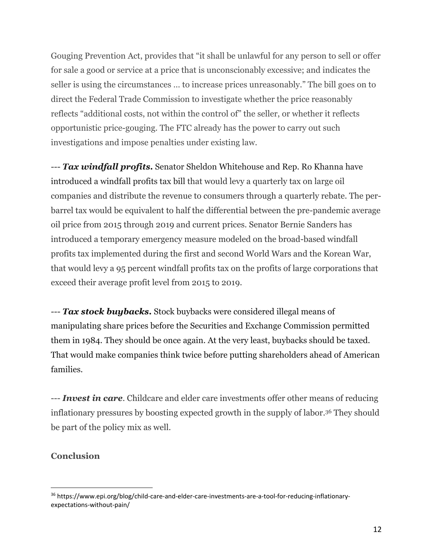Gouging Prevention Act, provides that "it shall be unlawful for any person to sell or offer for sale a good or service at a price that is unconscionably excessive; and indicates the seller is using the circumstances … to increase prices unreasonably." The bill goes on to direct the Federal Trade Commission to investigate whether the price reasonably reflects "additional costs, not within the control of" the seller, or whether it reflects opportunistic price-gouging. The FTC already has the power to carry out such investigations and impose penalties under existing law.

*--- Tax windfall profits.* Senator Sheldon Whitehouse and Rep. Ro Khanna have introduced a windfall profits tax bill that would levy a quarterly tax on large oil companies and distribute the revenue to consumers through a quarterly rebate. The perbarrel tax would be equivalent to half the differential between the pre-pandemic average oil price from 2015 through 2019 and current prices. Senator Bernie Sanders has introduced a temporary emergency measure modeled on the broad-based windfall profits tax implemented during the first and second World Wars and the Korean War, that would levy a 95 percent windfall profits tax on the profits of large corporations that exceed their average profit level from 2015 to 2019.

*--- Tax stock buybacks***.** Stock buybacks were considered illegal means of manipulating share prices before the Securities and Exchange Commission permitted them in 1984. They should be once again. At the very least, buybacks should be taxed. That would make companies think twice before putting shareholders ahead of American families.

--- *Invest in care*. Childcare and elder care investments offer other means of reducing inflationary pressures by boosting expected growth in the supply of labor.<sup>36</sup> They should be part of the policy mix as well.

#### **Conclusion**

<sup>36</sup> https://www.epi.org/blog/child-care-and-elder-care-investments-are-a-tool-for-reducing-inflationaryexpectations-without-pain/